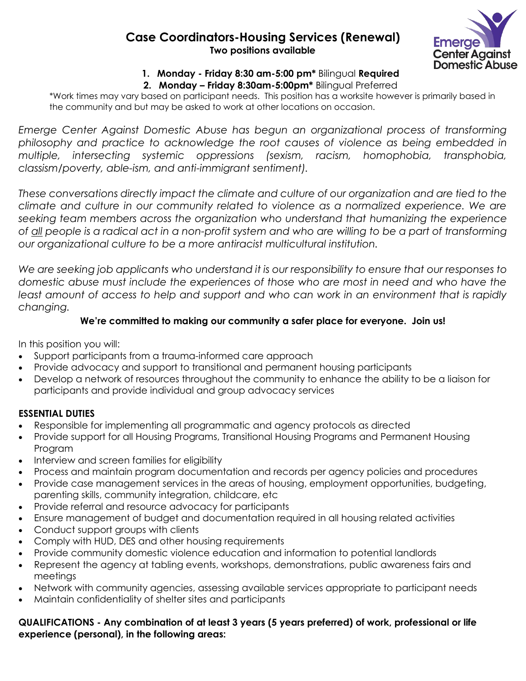## **Case Coordinators-Housing Services (Renewal) Two positions available**



# **1. Monday - Friday 8:30 am-5:00 pm\*** Bilingual **Required**

**2. Monday – Friday 8:30am-5:00pm\*** Bilingual Preferred

\*Work times may vary based on participant needs. This position has a worksite however is primarily based in the community and but may be asked to work at other locations on occasion.

*Emerge Center Against Domestic Abuse has begun an organizational process of transforming philosophy and practice to acknowledge the root causes of violence as being embedded in multiple, intersecting systemic oppressions (sexism, racism, homophobia, transphobia, classism/poverty, able-ism, and anti-immigrant sentiment).*

*These conversations directly impact the climate and culture of our organization and are tied to the climate and culture in our community related to violence as a normalized experience. We are seeking team members across the organization who understand that humanizing the experience of all people is a radical act in a non-profit system and who are willing to be a part of transforming our organizational culture to be a more antiracist multicultural institution.* 

*We are seeking job applicants who understand it is our responsibility to ensure that our responses to domestic abuse must include the experiences of those who are most in need and who have the least amount of access to help and support and who can work in an environment that is rapidly changing.* 

#### **We're committed to making our community a safer place for everyone. Join us!**

In this position you will:

- Support participants from a trauma-informed care approach
- Provide advocacy and support to transitional and permanent housing participants
- Develop a network of resources throughout the community to enhance the ability to be a liaison for participants and provide individual and group advocacy services

### **ESSENTIAL DUTIES**

- Responsible for implementing all programmatic and agency protocols as directed
- Provide support for all Housing Programs, Transitional Housing Programs and Permanent Housing Program
- Interview and screen families for eligibility
- Process and maintain program documentation and records per agency policies and procedures
- Provide case management services in the areas of housing, employment opportunities, budgeting, parenting skills, community integration, childcare, etc
- Provide referral and resource advocacy for participants
- Ensure management of budget and documentation required in all housing related activities
- Conduct support groups with clients
- Comply with HUD, DES and other housing requirements
- Provide community domestic violence education and information to potential landlords
- Represent the agency at tabling events, workshops, demonstrations, public awareness fairs and meetings
- Network with community agencies, assessing available services appropriate to participant needs
- Maintain confidentiality of shelter sites and participants

#### **QUALIFICATIONS - Any combination of at least 3 years (5 years preferred) of work, professional or life experience (personal), in the following areas:**